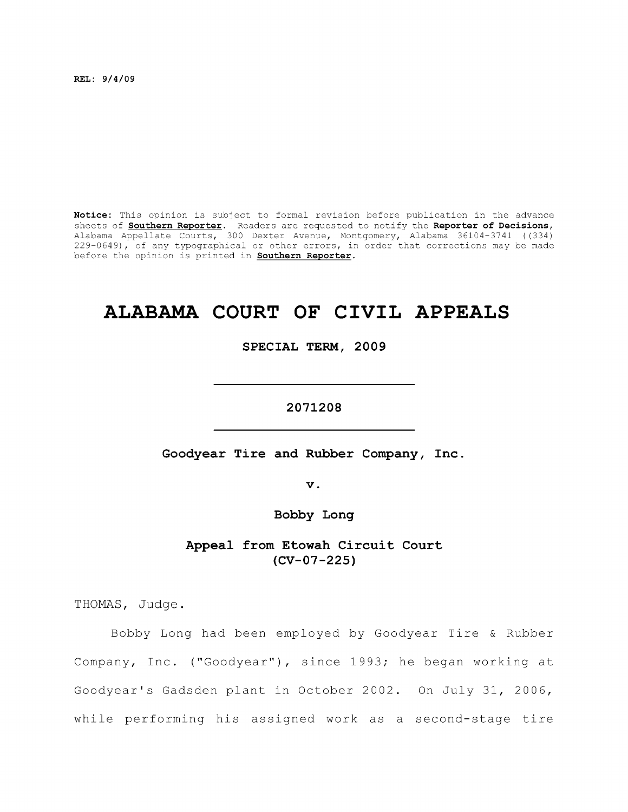**REL: 9/4/09** 

**Notice:** This opinion is subject to formal revision before publication in the advance sheets of **Southern Reporter.** Readers are requested to notify the **Reporter of Decisions,**  Alabama Appellate Courts, 300 Dexter Avenue, Montgomery, Alabama 36104-3741 ((334) 229-0649), of any typographical or other errors, in order that corrections may be made before the opinion is printed in **Southern Reporter.** 

# **ALABAMA COURT OF CIVIL APPEALS**

**SPECIAL TERM, 2009** 

**2071208** 

**Goodyear Tire and Rubber Company, Inc** 

**V .** 

**Bobby Long** 

**Appeal from Etowah Circuit Court (CV-07-225)** 

THOMAS, Judge.

Bobby Long had been employed by Goodyear Tire & Rubber Company, Inc. ("Goodyear"), since 1993; he began working at Goodyear's Gadsden plant in October 2002. On July 31, 2006, while performing his assigned work as a second-stage tire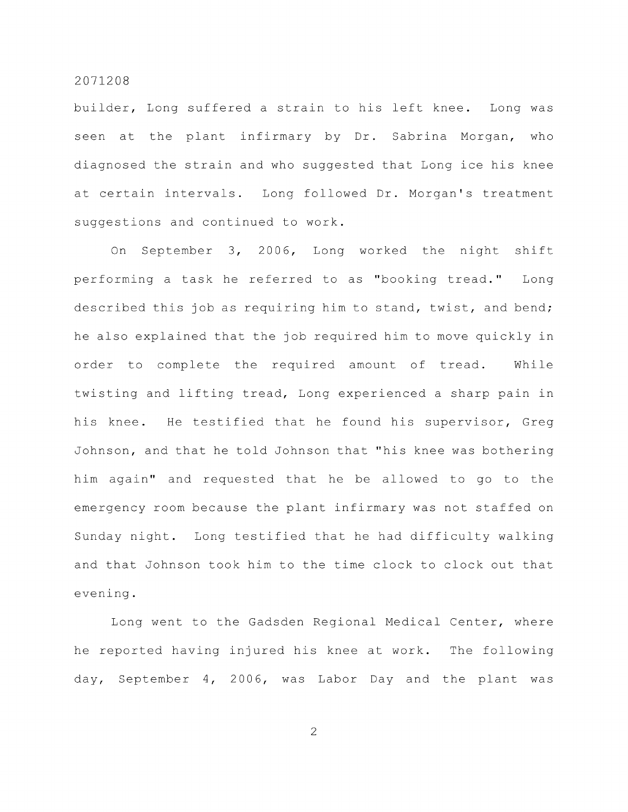builder. Long suffered a strain to his left knee. Long was seen at the plant infirmary by Dr. Sabrina Morgan, who diagnosed the strain and who suggested that Long ice his knee at certain intervals. Long followed Dr. Morgan's treatment suggestions and continued to work.

On September 3, 2006, Long worked the night shift performing a task he referred to as "booking tread." Long described this job as requiring him to stand, twist, and bend; he also explained that the job required him to move quickly in order to complete the required amount of tread, While twisting and lifting tread. Long experienced a sharp pain in his knee. He testified that he found his supervisor, Greg Johnson, and that he told Johnson that "his knee was bothering him again" and requested that he be allowed to go to the emergency room because the plant infirmary was not staffed on Sunday night. Long testified that he had difficulty walking and that Johnson took him to the time clock to clock out that evening.

Long went to the Gadsden Regional Medical Center, where he reported having injured his knee at work. The following day, September 4, 2006, was Labor Day and the plant was

 $\overline{2}$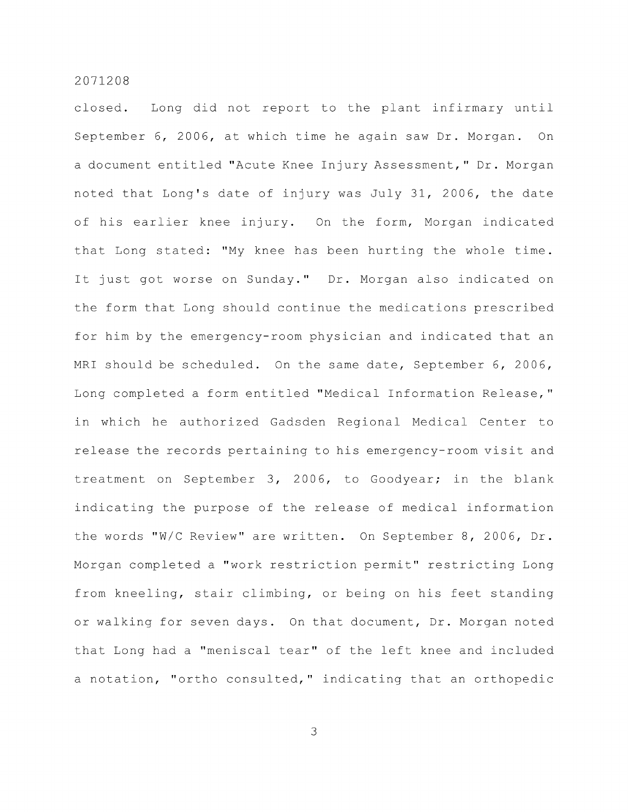closed. Long did not report to the plant infirmary until September 6, 2006, at which time he again saw Dr. Morgan. On a document entitled "Acute Knee Injury Assessment," Dr. Morgan noted that Long's date of injury was July 31, 2006, the date of his earlier knee injury. On the form, Morgan indicated that Long stated: "My knee has been hurting the whole time. It just got worse on Sunday." Dr. Morgan also indicated on the form that Long should continue the medications prescribed for him by the emergency-room physician and indicated that an MRI should be scheduled. On the same date, September 6, 2006, Long completed a form entitled "Medical Information Release," in which he authorized Gadsden Regional Medical Center to release the records pertaining to his emergency-room visit and treatment on September 3, 2006, to Goodyear; in the blank indicating the purpose of the release of medical information the words "W/C Review" are written. On September 8, 2006, Dr. Morgan completed a "work restriction permit" restricting Long from kneeling, stair climbing, or being on his feet standing or walking for seven days. On that document, Dr. Morgan noted that Long had a "meniscal tear" of the left knee and included a notation, "ortho consulted," indicating that an orthopedic

 $\mathfrak{Z}$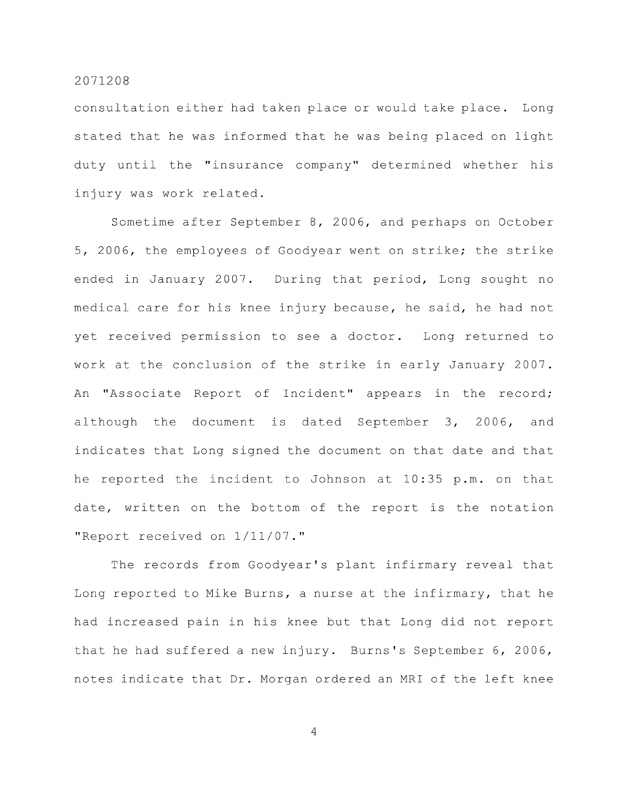consultation either had taken place or would take place. Long stated that he was informed that he was being placed on light duty until the "insurance company" determined whether his injury was work related.

Sometime after September 8, 2006, and perhaps on October 5, 2006, the employees of Goodyear went on strike; the strike ended in January 2007. During that period, Long sought no medical care for his knee injury because, he said, he had not yet received permission to see a doctor. Long returned to work at the conclusion of the strike in early January 2007. An "Associate Report of Incident" appears in the record; although the document is dated September 3, 2006, and indicates that Long signed the document on that date and that he reported the incident to Johnson at 10:35 p.m. on that date, written on the bottom of the report is the notation "Report received on 1/11/07."

The records from Goodyear's plant infirmary reveal that Long reported to Mike Burns, a nurse at the infirmary, that he had increased pain in his knee but that Long did not report that he had suffered a new injury. Burns's September 6, 2006, notes indicate that Dr. Morgan ordered an MRI of the left knee

 $\overline{4}$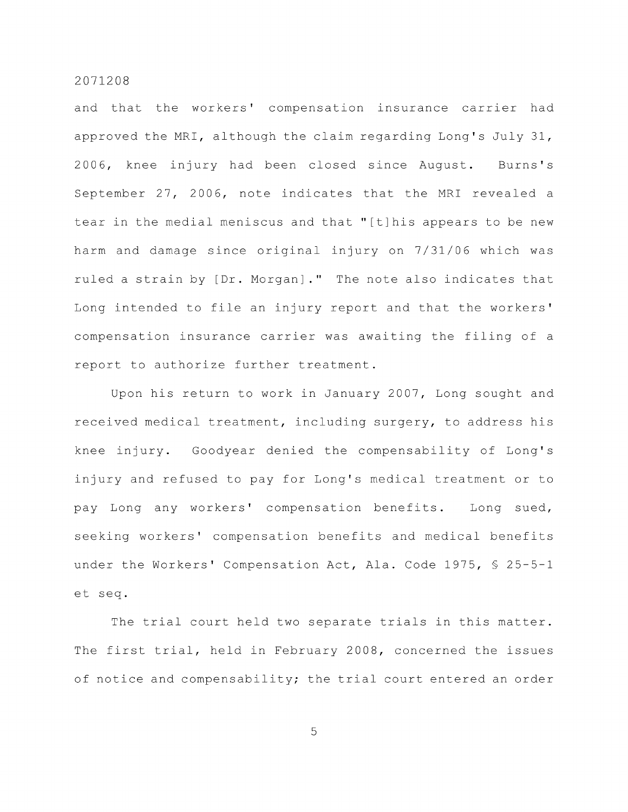and that the workers' compensation insurance carrier had approved the MRI, although the claim regarding Long's July 31, 2006, knee injury had been closed since August. Burns's September 27, 2006, note indicates that the MRI revealed a tear in the medial meniscus and that "[t]his appears to be new harm and damage since original injury on 7/31/06 which was ruled a strain by [Dr. Morgan] ." The note also indicates that Long intended to file an injury report and that the workers' compensation insurance carrier was awaiting the filing of a report to authorize further treatment.

Upon his return to work in January 2007, Long sought and received medical treatment, including surgery, to address his knee injury. Goodyear denied the compensability of Long's injury and refused to pay for Long's medical treatment or to pay Long any workers' compensation benefits. Long sued, seeking workers' compensation benefits and medical benefits under the Workers' Compensation Act, Ala. Code 1975, § 25-5-1 et seq.

The trial court held two separate trials in this matter. The first trial, held in February 2008, concerned the issues of notice and compensability; the trial court entered an order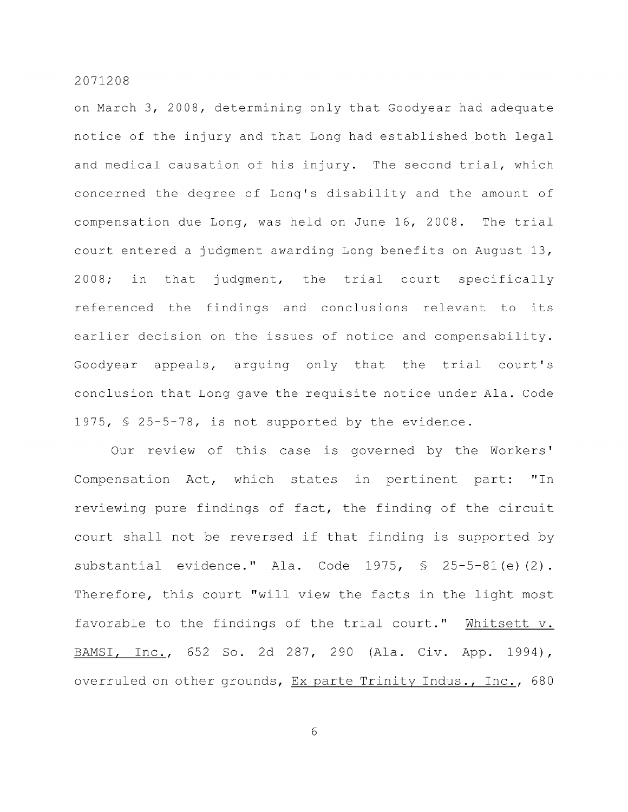on March 3, 2008, determining only that Goodyear had adequate notice of the injury and that Long had established both legal and medical causation of his injury. The second trial, which concerned the degree of Long's disability and the amount of compensation due Long, was held on June 16, 2008. The trial court entered a judgment awarding Long benefits on August 13, 2008; in that judgment, the trial court specifically referenced the findings and conclusions relevant to its earlier decision on the issues of notice and compensability. Goodyear appeals, arguing only that the trial court's conclusion that Long gave the requisite notice under Ala. Code 1975, § 25-5-78, is not supported by the evidence.

Our review of this case is governed by the Workers' Compensation Act, which states in pertinent part: "In reviewing pure findings of fact, the finding of the circuit court shall not be reversed if that finding is supported by substantial evidence." Ala. Code 1975, § 25-5-81(e)(2). Therefore, this court "will view the facts in the light most favorable to the findings of the trial court." Whitsett v. BAMSl, Inc., 652 So. 2d 287, 290 (Ala. Civ. App. 1994), overruled on other grounds, Ex parte Trinity Indus., Inc., 680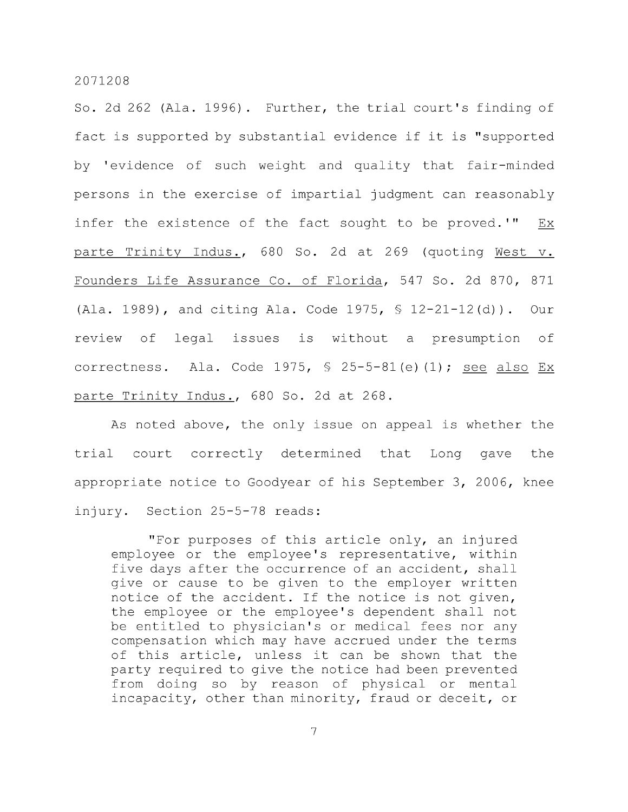So. 2d 262 (Ala. 1996) . Further, the trial court's finding of fact is supported by substantial evidence if it is "supported by 'evidence of such weight and quality that fair-minded persons in the exercise of impartial judgment can reasonably infer the existence of the fact sought to be proved.'" Ex parte Trinity Indus., 680 So. 2d at 269 (quoting West v. Founders Life Assurance Co. of Florida, 547 So. 2d 870, 871 (Ala. 1989), and citing Ala. Code 1975, § 12-21-12(d)). Our review of legal issues is without a presumption of correctness. Ala. Code 1975,  $\frac{1}{5}$  25-5-81(e)(1); see also Ex parte Trinity Indus., 680 So. 2d at 268.

As noted above, the only issue on appeal is whether the trial court correctly determined that Long gave the appropriate notice to Goodyear of his September 3, 2006, knee injury. Section 25-5-78 reads:

"For purposes of this article only, an injured employee or the employee's representative, within five days after the occurrence of an accident, shall give or cause to be given to the employer written notice of the accident. If the notice is not given, the employee or the employee's dependent shall not be entitled to physician's or medical fees nor any compensation which may have accrued under the terms of this article, unless it can be shown that the party required to give the notice had been prevented from doing so by reason of physical or mental incapacity, other than minority, fraud or deceit, or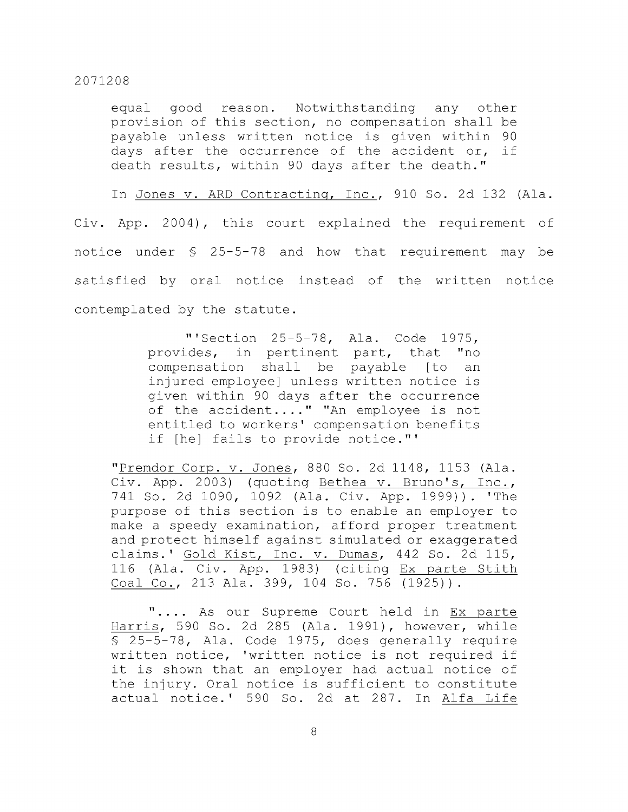equal good reason. Notwithstanding any other provision of this section, no compensation shall be payable unless written notice is given within 90 days after the occurrence of the accident or, if death results, within 90 days after the death."

In Jones v. ARD Contracting, Inc., 910 So. 2d 132 (Ala. Civ. App. 2004), this court explained the requirement of notice under § 25-5-78 and how that requirement may be satisfied by oral notice instead of the written notice contemplated by the statute.

> "'Section 25-5-78, Ala. Code 1975, provides, in pertinent part, that "no compensation shall be payable [to an injured employee] unless written notice is given within 90 days after the occurrence of the accident...." "An employee is not entitled to workers' compensation benefits if [he] fails to provide notice."'

"Premdor Corp. v. Jones, 880 So. 2d 1148, 1153 (Ala. Civ. App. 2003) (quoting Bethea v. Bruno's, Inc., 741 So. 2d 1090, 1092 (Ala. Civ. App. 1999)). 'The purpose of this section is to enable an employer to make a speedy examination, afford proper treatment and protect himself against simulated or exaggerated claims.' Gold Kist, Inc. v. Dumas, 442 So. 2d 115, 116 (Ala. Civ. App. 1983) (citing Ex parte Stith Coal Co., 213 Ala. 399, 104 So. 756 (1925)).

".... As our Supreme Court held in Ex parte Harris, 590 So. 2d 285 (Ala. 1991), however, while § 25-5-78, Ala. Code 1975, does generally require written notice, 'written notice is not required if it is shown that an employer had actual notice of the injury. Oral notice is sufficient to constitute actual notice. ' 590 So. 2d at 287. In Alfa Life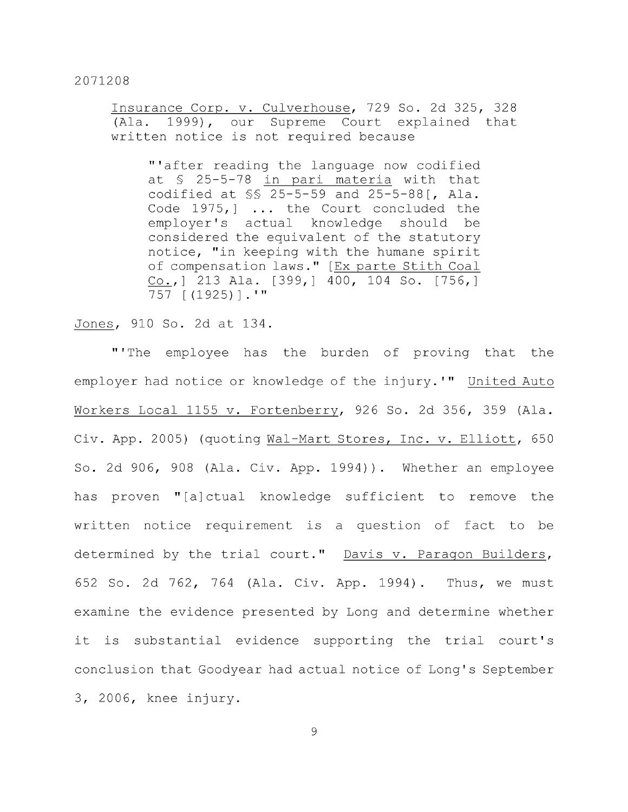Insurance Corp. v. Culverhouse, 729 So. 2d 325, 328 (Ala. 1999), our Supreme Court explained that written notice is not required because

"'after reading the language now codified at § 25-5-78 in pari materia with that codified at §§ 25-5-59 and 25-5-88[, Ala. Code 1975,] ... the Court concluded the employer's actual knowledge should be considered the equivalent of the statutory notice, "in keeping with the humane spirit of compensation laws." [Ex parte Stith Coal Co.,1 213 Ala. [399,] 400, 104 So. [756,] 757 [ (1925)] . '"

Jones, 910 So. 2d at 134.

"'The employee has the burden of proving that the employer had notice or knowledge of the injury.'" United Auto Workers Local 1155 v. Fortenberry, 926 So. 2d 356, 359 (Ala. Civ. App. 2005) (quoting Wal-Mart Stores, Inc. v. Elliott, 650 So. 2d 906, 908 (Ala. Civ. App. 1994)). Whether an employee has proven "[a]ctual knowledge sufficient to remove the written notice requirement is a question of fact to be determined by the trial court." Davis v. Paragon Builders, 652 So. 2d 762, 764 (Ala. Civ. App. 1994) . Thus, we must examine the evidence presented by Long and determine whether it is substantial evidence supporting the trial court's conclusion that Goodyear had actual notice of Long's September 3, 2006, knee injury.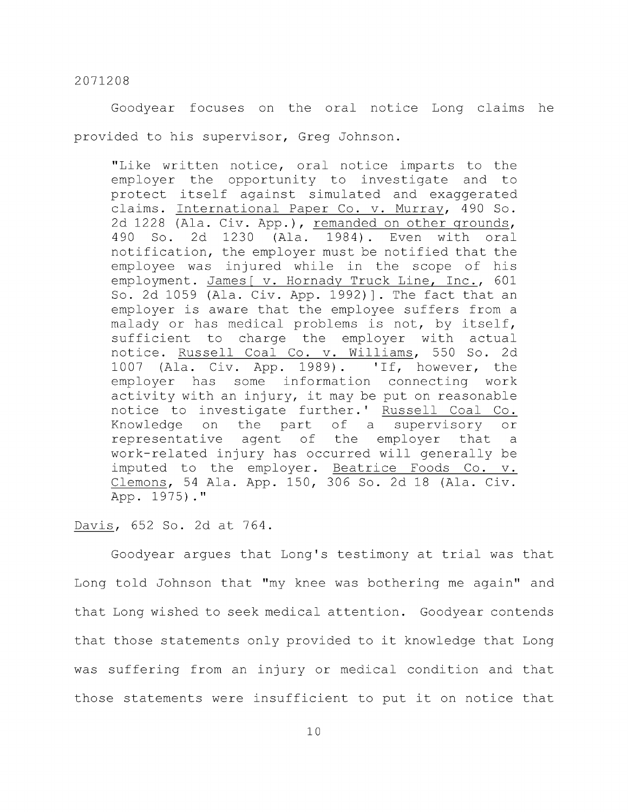Goodyear focuses on the oral notice Long claims he provided to his supervisor, Greg Johnson.

"Like written notice, oral notice imparts to the employer the opportunity to investigate and to protect itself against simulated and exaggerated claims. International Paper Co. v. Murray, 490 So. 2d 1228 (Ala. Civ. App.), remanded on other grounds, 490 So. 2d 1230 (Ala. 1984). Even with oral notification, the employer must be notified that the employee was injured while in the scope of his employment. James [ v. Hornady Truck Line, Inc., 601 So. 2d 1059 (Ala. Civ. App. 1992)]. The fact that an employer is aware that the employee suffers from a malady or has medical problems is not, by itself, sufficient to charge the employer with actual notice. Russell Coal Co. v. Williams, 550 So. 2d 1007 (Ala. Civ. App. 1989). 'If, however, the employer has some information connecting work activity with an injury, it may be put on reasonable notice to investigate further.' Russell Coal Co. Knowledge on the part of a supervisory or representative agent of the employer that a work-related injury has occurred will generally be imputed to the employer. Beatrice Foods Co. v. Clemons, 54 Ala. App. 150, 306 So. 2d 18 (Ala. Civ. App. 1975)."

Davis, 652 So. 2d at 764.

Goodyear argues that Long's testimony at trial was that Long told Johnson that "my knee was bothering me again" and that Long wished to seek medical attention. Goodyear contends that those statements only provided to it knowledge that Long was suffering from an injury or medical condition and that those statements were insufficient to put it on notice that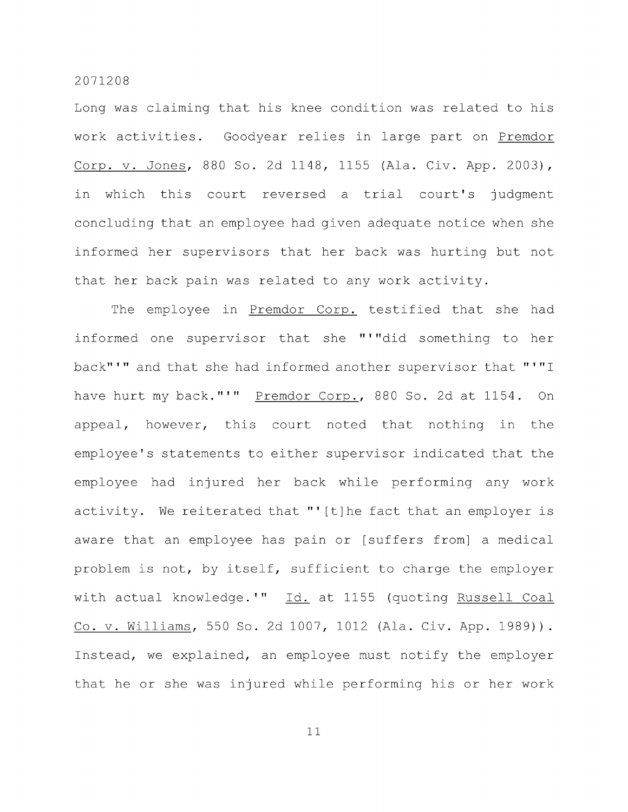Long was claiming that his knee condition was related to his work activities. Goodyear relies in large part on Premdor Corp. V. Jones, 880 So. 2d 1148, 1155 (Ala. Civ. App. 2003), in which this court reversed a trial court's judgment concluding that an employee had given adequate notice when she informed her supervisors that her back was hurting but not that her back pain was related to any work activity.

The employee in Premdor Corp. testified that she had informed one supervisor that she "'"did something to her back"'" and that she had informed another supervisor that "'"I have hurt my back."'" Premdor Corp., 880 So. 2d at 1154. On appeal, however, this court noted that nothing in the employee's statements to either supervisor indicated that the employee had injured her back while performing any work activity. We reiterated that "'[t]he fact that an employer is aware that an employee has pain or [suffers from] a medical problem is not, by itself, sufficient to charge the employer with actual knowledge.'" Id. at 1155 (quoting Russell Coal Co. V. Williams, 550 So. 2d 1007, 1012 (Ala. Civ. App. 1989)). Instead, we explained, an employee must notify the employer that he or she was injured while performing his or her work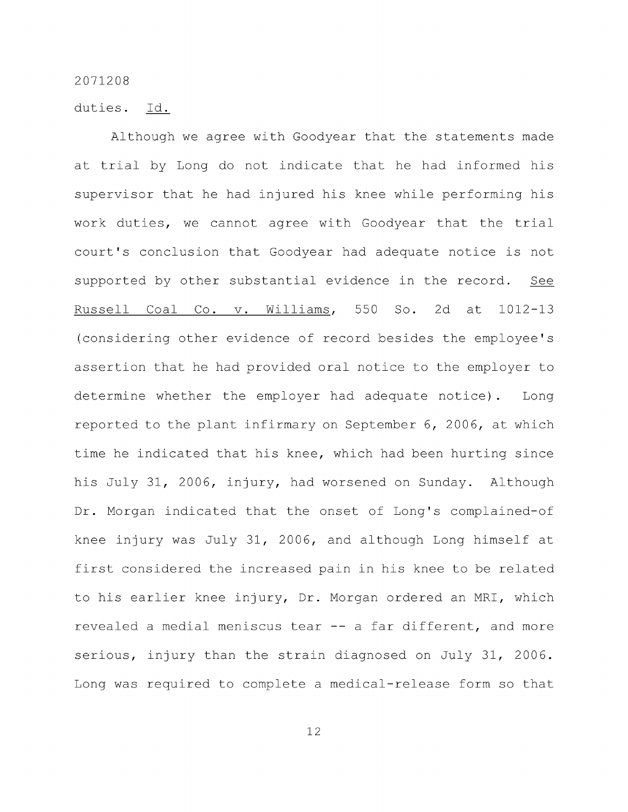duties. Id,

Although we agree with Goodyear that the statements made at trial by Long do not indicate that he had informed his supervisor that he had injured his knee while performing his work duties, we cannot agree with Goodyear that the trial court's conclusion that Goodyear had adequate notice is not supported by other substantial evidence in the record. See Russell Coal Co. v. Williams, 550 So. 2d at 1012-13 (considering other evidence of record besides the employee's assertion that he had provided oral notice to the employer to determine whether the employer had adequate notice). Long reported to the plant infirmary on September 6, 2006, at which time he indicated that his knee, which had been hurting since his July 31, 2006, injury, had worsened on Sunday. Although Dr. Morgan indicated that the onset of Long's complained-of knee injury was July 31, 2006, and although Long himself at first considered the increased pain in his knee to be related to his earlier knee injury. Dr. Morgan ordered an MRI, which revealed a medial meniscus tear -- a far different, and more serious, injury than the strain diagnosed on July 31, 2006. Long was required to complete a medical-release form so that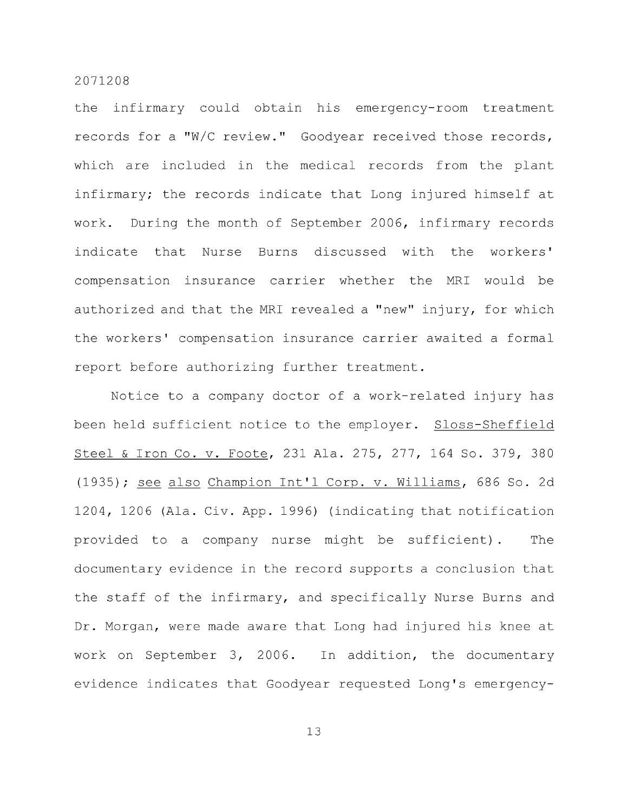the infirmary could obtain his emergency-room treatment records for a "W/C review." Goodyear received those records, which are included in the medical records from the plant infirmary; the records indicate that Long injured himself at work. During the month of September 2006, infirmary records indicate that Nurse Burns discussed with the workers' compensation insurance carrier whether the MRI would be authorized and that the MRI revealed a "new" injury, for which the workers' compensation insurance carrier awaited a formal report before authorizing further treatment.

Notice to a company doctor of a work-related injury has been held sufficient notice to the employer. Sloss-Sheffield Steel & Iron Co. v. Foote, 231 Ala. 275, 277, 164 So. 379, 380 (1935); see also Champion Int'l Corp. v. Williams, 686 So. 2d 1204, 1206 (Ala. Civ. App. 1996) (indicating that notification provided to a company nurse might be sufficient). The documentary evidence in the record supports a conclusion that the staff of the infirmary, and specifically Nurse Burns and Dr. Morgan, were made aware that Long had injured his knee at work on September 3, 2006. In addition, the documentary evidence indicates that Goodyear requested Long's emergency-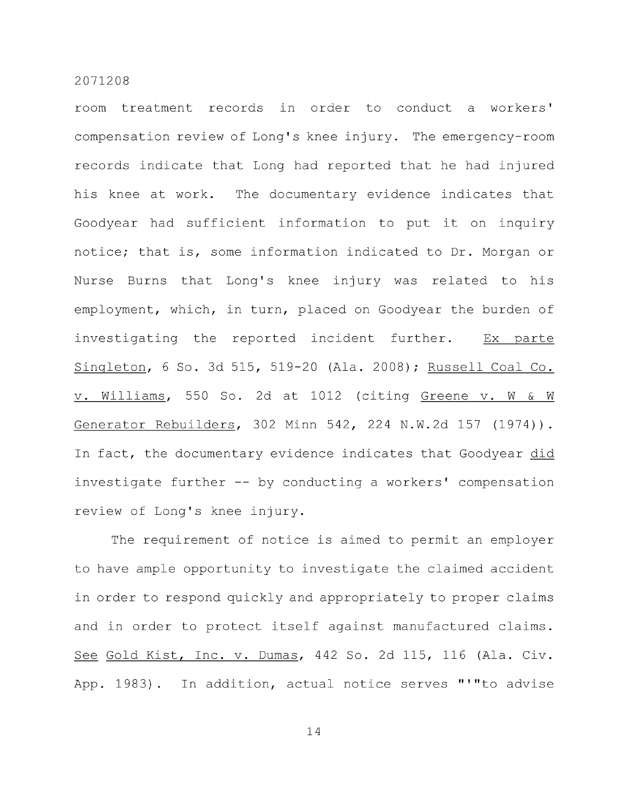room treatment records in order to conduct a workers' compensation review of Long's knee injury. The emergency-room records indicate that Long had reported that he had injured his knee at work. The documentary evidence indicates that Goodyear had sufficient information to put it on inquiry notice; that is, some information indicated to Dr. Morgan or Nurse Burns that Long's knee injury was related to his employment, which, in turn, placed on Goodyear the burden of investigating the reported incident further. Ex parte Singleton, 6 So. 3d 515, 519-20 (Ala. 2008); Russell Coal Co. V. Williams, 550 So. 2d at 1012 (citing Greene v. W & W Generator Rebuilders, 302 Minn 542, 224 N.W.2d 157 (1974)). In fact, the documentary evidence indicates that Goodyear did investigate further -- by conducting a workers' compensation review of Long's knee injury.

The requirement of notice is aimed to permit an employer to have ample opportunity to investigate the claimed accident in order to respond quickly and appropriately to proper claims and in order to protect itself against manufactured claims. See Gold Kist, Inc. v. Dumas, 442 So. 2d 115, 116 (Ala. Civ. App. 1983). In addition, actual notice serves "'"to advise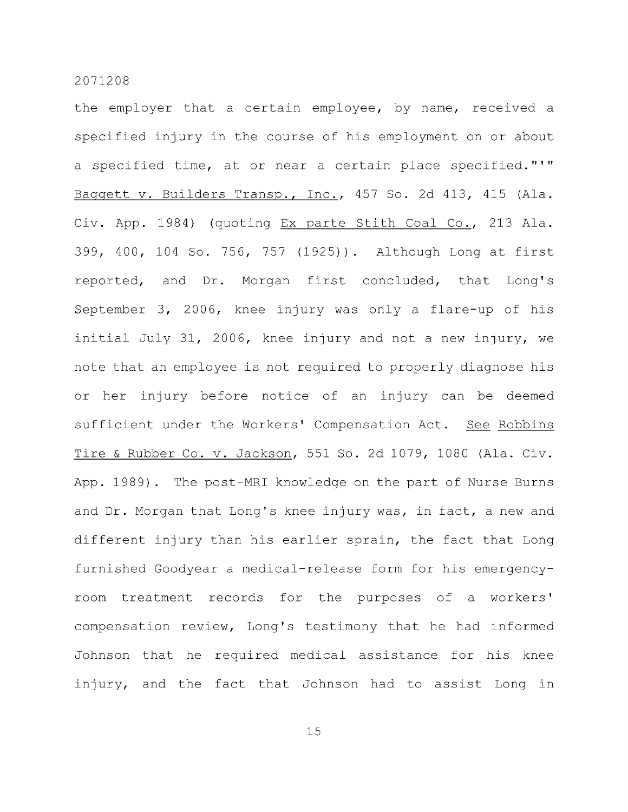the employer that a certain employee, by name, received a specified injury in the course of his employment on or about a specified time, at or near a certain place specified."'" Baggett v. Builders Transp., Inc., 457 So. 2d 413, 415 (Ala. Civ. App. 1984) (quoting Ex parte Stith Coal Co., 213 Ala. 399, 400, 104 So. 756, 757 (1925)). Although Long at first reported, and Dr. Morgan first concluded, that Long's September 3, 2006, knee injury was only a flare-up of his initial July 31, 2006, knee injury and not a new injury, we note that an employee is not required to properly diagnose his or her injury before notice of an injury can be deemed sufficient under the Workers' Compensation Act. See Robbins Tire & Rubber Co. v. Jackson, 551 So. 2d 1079, 1080 (Ala. Civ. App. 1989) . The post-MRI knowledge on the part of Nurse Burns and Dr. Morgan that Long's knee injury was, in fact, a new and different injury than his earlier sprain, the fact that Long furnished Goodyear a medical-release form for his emergencyroom treatment records for the purposes of a workers' compensation review. Long's testimony that he had informed Johnson that he required medical assistance for his knee injury, and the fact that Johnson had to assist Long in